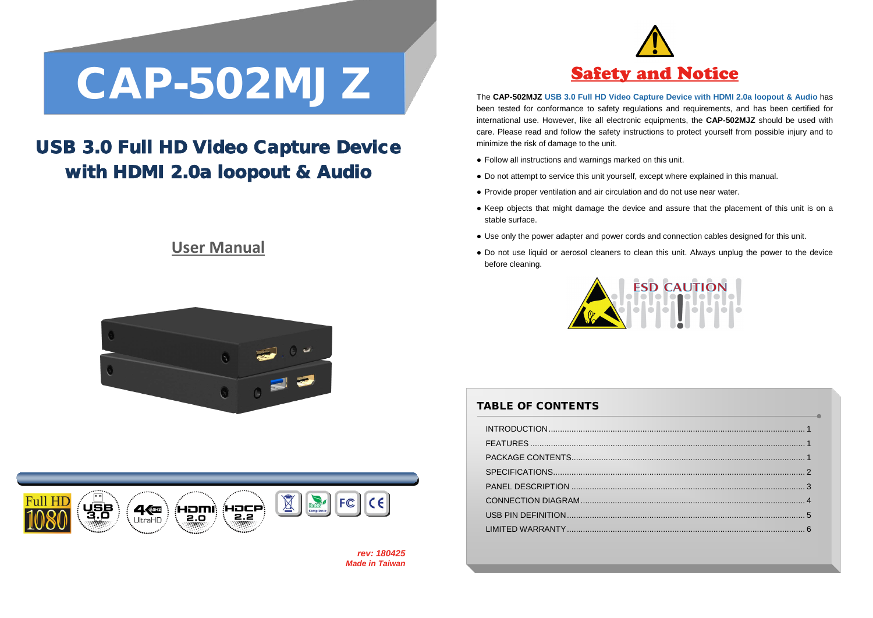# CAP-502MJZ The CAP-502MJZ USB 3.0 Full HD Video Capture Device with HDMI 2

## USB 3.0 Full HD Video Capture Device with HDMI 2.0a loopout & Audio

### **User Manual**





*rev: 180425 Made in Taiwan*



The **CAP-502MJZ USB 3.0 Full HD Video Capture Device with HDMI 2.0a loopout & Audio** has been tested for conformance to safety regulations and requirements, and has been certified for international use. However, like all electronic equipments, the **CAP-502MJZ** should be used with care. Please read and follow the safety instructions to protect yourself from possible injury and to minimize the risk of damage to the unit.

- Follow all instructions and warnings marked on this unit.
- Do not attempt to service this unit yourself, except where explained in this manual.
- Provide proper ventilation and air circulation and do not use near water.
- Keep objects that might damage the device and assure that the placement of this unit is on a stable surface.
- Use only the power adapter and power cords and connection cables designed for this unit.
- Do not use liquid or aerosol cleaners to clean this unit. Always unplug the power to the device before cleaning.



#### TABLE OF CONTENTS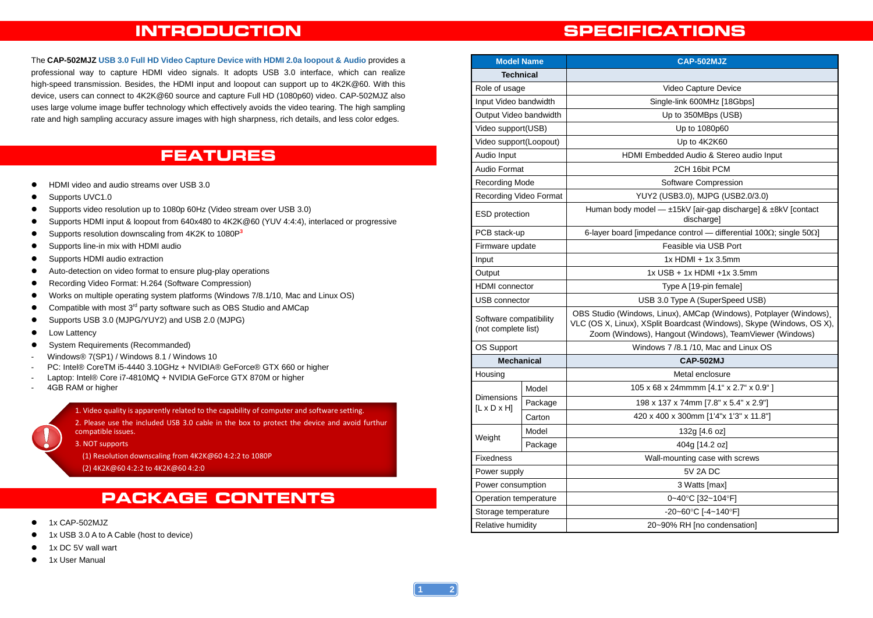#### **INTRODUCTION**

The **CAP-502MJZ USB 3.0 Full HD Video Capture Device with HDMI 2.0a loopout & Audio** provides a professional way to capture HDMI video signals. It adopts USB 3.0 interface, which can realize high-speed transmission. Besides, the HDMI input and loopout can support up to 4K2K@60. With this device, users can connect to 4K2K@60 source and capture Full HD (1080p60) video. CAP-502MJZ also uses large volume image buffer technology which effectively avoids the video tearing. The high sampling rate and high sampling accuracy assure images with high sharpness, rich details, and less color edges.

#### **FEATURES**

- $\bullet$  HDMI video and audio streams over USB 3.0
- Supports UVC1.0
- Supports video resolution up to 1080p 60Hz (Video stream over USB 3.0)
- Supports HDMI input & loopout from 640x480 to 4K2K@60 (YUV 4:4:4), interlaced or progressive
- Supports resolution downscaling from 4K2K to 1080P**<sup>3</sup>**
- Supports line-in mix with HDMI audio
- **•** Supports HDMI audio extraction
- Auto-detection on video format to ensure plug-play operations
- Recording Video Format: H.264 (Software Compression)
- Works on multiple operating system platforms (Windows 7/8.1/10, Mac and Linux OS)
- $\bullet$  Compatible with most 3<sup>rd</sup> party software such as OBS Studio and AMCap
- Supports USB 3.0 (MJPG/YUY2) and USB 2.0 (MJPG)
- Low Lattency
- System Requirements (Recommanded)
- Windows® 7(SP1) / Windows 8.1 / Windows 10
- PC: Intel® CoreTM i5-4440 3.10GHz + NVIDIA® GeForce® GTX 660 or higher
- Laptop: Intel® Core i7-4810MQ + NVIDIA GeForce GTX 870M or higher
- 4GB RAM or higher

1. Video quality is apparently related to the capability of computer and software setting.

2. Please use the included USB 3.0 cable in the box to protect the device and avoid furthur compatible issues.

3. NOT supports

(1) Resolution downscaling from 4K2K@60 4:2:2 to 1080P

(2) 4K2K@60 4:2:2 to 4K2K@60 4:2:0

#### **PACKAGE CONTENTS**

- 1x CAP-502MJZ
- 1x USB 3.0 A to A Cable (host to device)
- 1x DC 5V wall wart
- 1x User Manual

#### **SPECIFICATIONS**

| <b>Model Name</b>                             |         | CAP-502MJZ                                                                                                                                                                                             |
|-----------------------------------------------|---------|--------------------------------------------------------------------------------------------------------------------------------------------------------------------------------------------------------|
| Technical                                     |         |                                                                                                                                                                                                        |
| Role of usage                                 |         | Video Capture Device                                                                                                                                                                                   |
| Input Video bandwidth                         |         | Single-link 600MHz [18Gbps]                                                                                                                                                                            |
| Output Video bandwidth                        |         | Up to 350MBps (USB)                                                                                                                                                                                    |
| Video support(USB)                            |         | Up to 1080p60                                                                                                                                                                                          |
| Video support(Loopout)                        |         | Up to 4K2K60                                                                                                                                                                                           |
| Audio Input                                   |         | HDMI Embedded Audio & Stereo audio Input                                                                                                                                                               |
| Audio Format                                  |         | 2CH 16bit PCM                                                                                                                                                                                          |
| <b>Recording Mode</b>                         |         | Software Compression                                                                                                                                                                                   |
| Recording Video Format                        |         | YUY2 (USB3.0), MJPG (USB2.0/3.0)                                                                                                                                                                       |
| <b>ESD</b> protection                         |         | Human body model - ±15kV [air-gap discharge] & ±8kV [contact<br>discharge]                                                                                                                             |
| PCB stack-up                                  |         | 6-layer board [impedance control - differential 100 $\Omega$ ; single 50 $\Omega$ ]                                                                                                                    |
| Firmware update                               |         | Feasible via USB Port                                                                                                                                                                                  |
| Input                                         |         | $1x$ HDMI + $1x$ 3.5mm                                                                                                                                                                                 |
| Output                                        |         | 1x USB + 1x HDMI +1x 3.5mm                                                                                                                                                                             |
| <b>HDMI</b> connector                         |         | Type A [19-pin female]                                                                                                                                                                                 |
| USB connector                                 |         | USB 3.0 Type A (SuperSpeed USB)                                                                                                                                                                        |
| Software compatibility<br>(not complete list) |         | OBS Studio (Windows, Linux), AMCap (Windows), Potplayer (Windows).<br>VLC (OS X, Linux), XSplit Boardcast (Windows), Skype (Windows, OS X),<br>Zoom (Windows), Hangout (Windows), TeamViewer (Windows) |
| OS Support                                    |         | Windows 7/8.1/10, Mac and Linux OS                                                                                                                                                                     |
| <b>Mechanical</b>                             |         | <b>CAP-502MJ</b>                                                                                                                                                                                       |
| Housing                                       |         | Metal enclosure                                                                                                                                                                                        |
|                                               | Model   | 105 x 68 x 24mmmm [4.1" x 2.7" x 0.9"]                                                                                                                                                                 |
| Dimensions<br>$[L \times D \times H]$         | Package | 198 x 137 x 74mm [7.8" x 5.4" x 2.9"]                                                                                                                                                                  |
|                                               | Carton  | 420 x 400 x 300mm [1'4"x 1'3" x 11.8"]                                                                                                                                                                 |
|                                               | Model   | 132g [4.6 oz]                                                                                                                                                                                          |
| Weight                                        | Package | 404g [14.2 oz]                                                                                                                                                                                         |
| Fixedness                                     |         | Wall-mounting case with screws                                                                                                                                                                         |
| Power supply                                  |         | <b>5V 2A DC</b>                                                                                                                                                                                        |
| Power consumption                             |         | 3 Watts [max]                                                                                                                                                                                          |
| Operation temperature                         |         | 0~40°C [32~104°F]                                                                                                                                                                                      |
| Storage temperature                           |         | -20~60°C [-4~140°F]                                                                                                                                                                                    |
| Relative humidity                             |         | 20~90% RH [no condensation]                                                                                                                                                                            |

**2**

**1**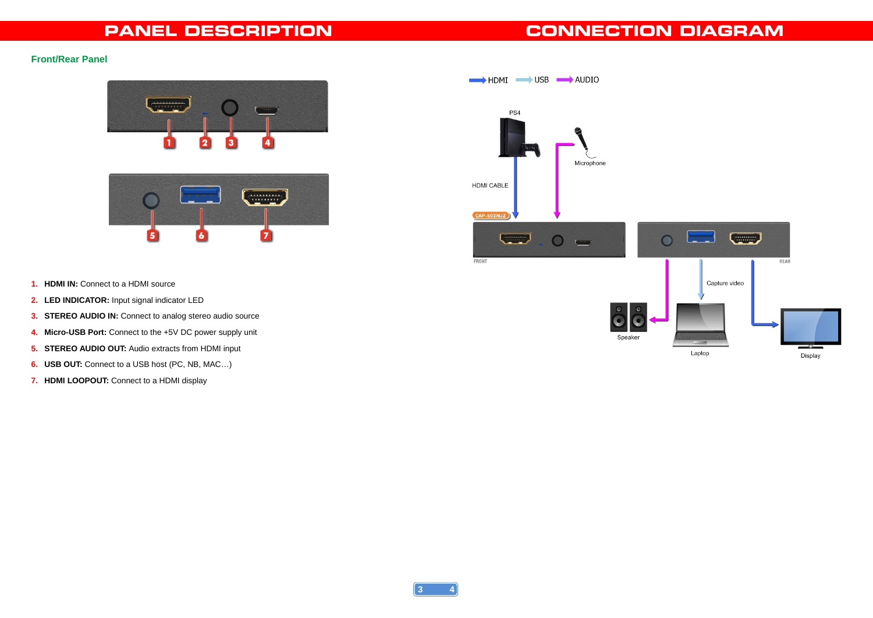#### **PANEL DESCRIPTION**

## **CONNECTION DIAGRAM**

#### **Front/Rear Panel**





- **1. HDMI IN:** Connect to a HDMI source
- **2. LED INDICATOR:** Input signal indicator LED
- **3. STEREO AUDIO IN:** Connect to analog stereo audio source
- **4. Micro-USB Port:** Connect to the +5V DC power supply unit
- **5. STEREO AUDIO OUT:** Audio extracts from HDMI input
- **6. USB OUT:** Connect to a USB host (PC, NB, MAC…)
- **7. HDMI LOOPOUT:** Connect to a HDMI display



**4**

**3**